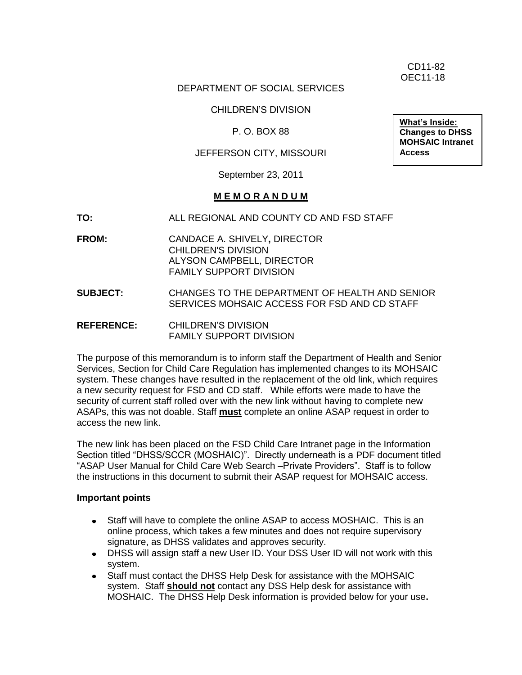CD11-82 OEC11-18

# DEPARTMENT OF SOCIAL SERVICES

CHILDREN'S DIVISION

P. O. BOX 88

# JEFFERSON CITY, MISSOURI

**Changes to DHSS MOHSAIC Intranet Access**

**What's Inside:**

September 23, 2011

### **M E M O R A N D U M**

- **TO:** ALL REGIONAL AND COUNTY CD AND FSD STAFF
- **FROM:** CANDACE A. SHIVELY**,** DIRECTOR CHILDREN'S DIVISION ALYSON CAMPBELL, DIRECTOR FAMILY SUPPORT DIVISION
- **SUBJECT:** CHANGES TO THE DEPARTMENT OF HEALTH AND SENIOR SERVICES MOHSAIC ACCESS FOR FSD AND CD STAFF
- **REFERENCE:** CHILDREN'S DIVISION FAMILY SUPPORT DIVISION

The purpose of this memorandum is to inform staff the Department of Health and Senior Services, Section for Child Care Regulation has implemented changes to its MOHSAIC system. These changes have resulted in the replacement of the old link, which requires a new security request for FSD and CD staff. While efforts were made to have the security of current staff rolled over with the new link without having to complete new ASAPs, this was not doable. Staff **must** complete an online ASAP request in order to access the new link.

The new link has been placed on the FSD Child Care Intranet page in the Information Section titled "DHSS/SCCR (MOSHAIC)". Directly underneath is a PDF document titled "ASAP User Manual for Child Care Web Search –Private Providers". Staff is to follow the instructions in this document to submit their ASAP request for MOHSAIC access.

#### **Important points**

- Staff will have to complete the online ASAP to access MOSHAIC. This is an online process, which takes a few minutes and does not require supervisory signature, as DHSS validates and approves security.
- DHSS will assign staff a new User ID. Your DSS User ID will not work with this system.
- Staff must contact the DHSS Help Desk for assistance with the MOHSAIC system. Staff **should not** contact any DSS Help desk for assistance with MOSHAIC. The DHSS Help Desk information is provided below for your use**.**